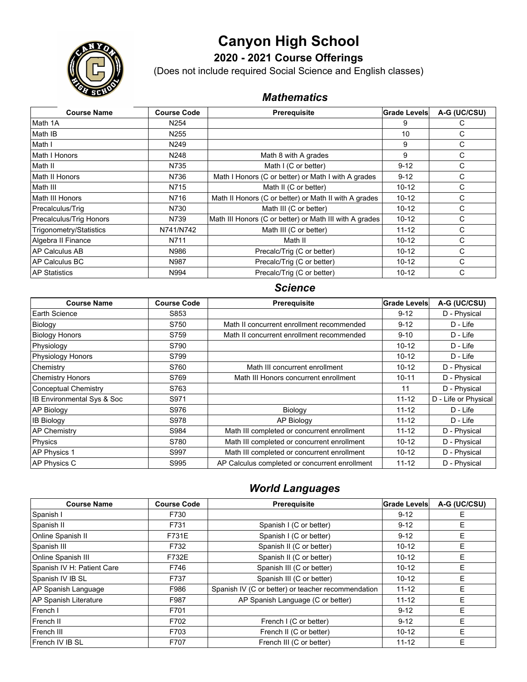# **Canyon High School**



**2020 - 2021 Course Offerings**

(Does not include required Social Science and English classes)

## *Mathematics*

| <b>Course Name</b>      | <b>Course Code</b> | Prerequisite                                            | Grade Levels | A-G (UC/CSU) |
|-------------------------|--------------------|---------------------------------------------------------|--------------|--------------|
| Math 1A                 | N <sub>254</sub>   |                                                         | 9            | C            |
| Math IB                 | N <sub>255</sub>   |                                                         | 10           | С            |
| Math I                  | N <sub>249</sub>   |                                                         | 9            | С            |
| Math I Honors           | N248               | Math 8 with A grades                                    | 9            | С            |
| Math II                 | N735               | Math I (C or better)                                    | $9 - 12$     | С            |
| Math II Honors          | N736               | Math I Honors (C or better) or Math I with A grades     | $9 - 12$     | С            |
| Math III                | N715               | Math II (C or better)                                   | $10 - 12$    | С            |
| Math III Honors         | N716               | Math II Honors (C or better) or Math II with A grades   | $10 - 12$    | С            |
| Precalculus/Trig        | N730               | Math III (C or better)                                  | $10 - 12$    | C            |
| Precalculus/Trig Honors | N739               | Math III Honors (C or better) or Math III with A grades | $10 - 12$    | C            |
| Trigonometry/Statistics | N741/N742          | Math III (C or better)                                  | $11 - 12$    | С            |
| Algebra II Finance      | N711               | Math II                                                 | $10 - 12$    | C            |
| AP Calculus AB          | N986               | Precalc/Trig (C or better)                              | $10 - 12$    | C            |
| <b>IAP Calculus BC</b>  | N987               | Precalc/Trig (C or better)                              | $10 - 12$    | C            |
| <b>AP Statistics</b>    | N994               | Precalc/Triq (C or better)                              | $10 - 12$    | C            |

#### *Science*

| <b>Course Name</b>         | <b>Course Code</b> | <b>Prerequisite</b>                            | <b>Grade Levels</b> | A-G (UC/CSU)         |
|----------------------------|--------------------|------------------------------------------------|---------------------|----------------------|
| Earth Science              | S853               |                                                | $9 - 12$            | D - Physical         |
| Biology                    | S750               | Math II concurrent enrollment recommended      | $9 - 12$            | D - Life             |
| <b>Biology Honors</b>      | S759               | Math II concurrent enrollment recommended      | $9 - 10$            | D - Life             |
| Physiology                 | S790               |                                                | $10 - 12$           | D - Life             |
| Physiology Honors          | S799               |                                                | $10 - 12$           | D - Life             |
| Chemistry                  | S760               | Math III concurrent enrollment                 | $10 - 12$           | D - Physical         |
| <b>Chemistry Honors</b>    | S769               | Math III Honors concurrent enrollment          | $10 - 11$           | D - Physical         |
| Conceptual Chemistry       | S763               |                                                | 11                  | D - Physical         |
| IB Environmental Sys & Soc | S971               |                                                | $11 - 12$           | D - Life or Physical |
| AP Biology                 | S976               | Biology                                        | $11 - 12$           | D - Life             |
| <b>IB Biology</b>          | S978               | AP Biology                                     | $11 - 12$           | $D - Life$           |
| <b>AP Chemistry</b>        | S984               | Math III completed or concurrent enrollment    | $11 - 12$           | D - Physical         |
| Physics                    | S780               | Math III completed or concurrent enrollment    | $10 - 12$           | D - Physical         |
| AP Physics 1               | S997               | Math III completed or concurrent enrollment    | 10-12               | D - Physical         |
| AP Physics C               | S995               | AP Calculus completed or concurrent enrollment | $11 - 12$           | D - Physical         |

### *World Languages*

| <b>Course Name</b>         | <b>Course Code</b> | Prerequisite                                       | Grade Levels | A-G (UC/CSU) |
|----------------------------|--------------------|----------------------------------------------------|--------------|--------------|
| Spanish I                  | F730               |                                                    | $9 - 12$     | Е            |
| Spanish II                 | F731               | Spanish I (C or better)                            | $9 - 12$     | E            |
| Online Spanish II          | F731E              | Spanish I (C or better)                            | $9 - 12$     | E            |
| Spanish III                | F732               | Spanish II (C or better)                           | $10 - 12$    | E            |
| Online Spanish III         | F732E              | Spanish II (C or better)                           | $10-12$      | E            |
| Spanish IV H: Patient Care | F746               | Spanish III (C or better)                          | $10 - 12$    | E            |
| Spanish IV IB SL           | F737               | Spanish III (C or better)                          | $10 - 12$    | E            |
| AP Spanish Language        | F986               | Spanish IV (C or better) or teacher recommendation | $11 - 12$    | E            |
| AP Spanish Literature      | F987               | AP Spanish Language (C or better)                  | $11 - 12$    | E            |
| French I                   | F701               |                                                    | $9 - 12$     | E            |
| French II                  | F702               | French I (C or better)                             | $9 - 12$     | E            |
| French III                 | F703               | French II (C or better)                            | $10 - 12$    | F            |
| French IV IB SL            | F707               | French III (C or better)                           | $11 - 12$    | E            |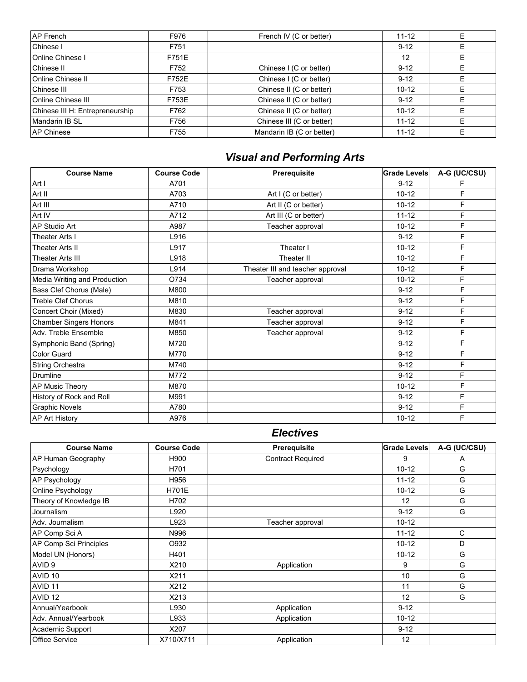| <b>AP French</b>                | F976  | French IV (C or better)   | $11 - 12$ |  |
|---------------------------------|-------|---------------------------|-----------|--|
| Chinese I                       | F751  |                           | $9 - 12$  |  |
| <b>Online Chinese I</b>         | F751E |                           | 12        |  |
| Chinese II                      | F752  | Chinese I (C or better)   | $9 - 12$  |  |
| <b>Online Chinese II</b>        | F752E | Chinese I (C or better)   | $9 - 12$  |  |
| Chinese III                     | F753  | Chinese II (C or better)  | $10 - 12$ |  |
| Online Chinese III              | F753E | Chinese II (C or better)  | $9 - 12$  |  |
| Chinese III H: Entrepreneurship | F762  | Chinese II (C or better)  | $10 - 12$ |  |
| Mandarin IB SL                  | F756  | Chinese III (C or better) | $11 - 12$ |  |
| <b>IAP Chinese</b>              | F755  | Mandarin IB (C or better) | $11 - 12$ |  |
|                                 |       |                           |           |  |

## *Visual and Performing Arts*

| <b>Course Name</b>            | <b>Course Code</b> | Prerequisite                     | Grade Levels | A-G (UC/CSU) |
|-------------------------------|--------------------|----------------------------------|--------------|--------------|
| Art I                         | A701               |                                  | $9 - 12$     | F            |
| Art II                        | A703               | Art I (C or better)              | $10 - 12$    | F            |
| Art III                       | A710               | Art II (C or better)             | $10 - 12$    | F            |
| Art IV                        | A712               | Art III (C or better)            | $11 - 12$    | F            |
| AP Studio Art                 | A987               | Teacher approval                 | $10 - 12$    | F            |
| <b>Theater Arts I</b>         | L916               |                                  | $9 - 12$     | F            |
| Theater Arts II               | L917               | Theater I                        | $10 - 12$    | F            |
| Theater Arts III              | L918               | Theater II                       | $10 - 12$    | F            |
| Drama Workshop                | L914               | Theater III and teacher approval | $10 - 12$    | F            |
| Media Writing and Production  | O734               | Teacher approval                 | $10-12$      | F            |
| Bass Clef Chorus (Male)       | M800               |                                  | $9 - 12$     | F            |
| <b>Treble Clef Chorus</b>     | M810               |                                  | $9 - 12$     | F            |
| Concert Choir (Mixed)         | M830               | Teacher approval                 | $9 - 12$     | F            |
| <b>Chamber Singers Honors</b> | M841               | Teacher approval                 | $9 - 12$     | F            |
| Adv. Treble Ensemble          | M850               | Teacher approval                 | $9 - 12$     | F            |
| Symphonic Band (Spring)       | M720               |                                  | $9 - 12$     | F            |
| Color Guard                   | M770               |                                  | $9 - 12$     | F            |
| String Orchestra              | M740               |                                  | $9 - 12$     | F            |
| Drumline                      | M772               |                                  | $9 - 12$     | F            |
| AP Music Theory               | M870               |                                  | $10 - 12$    | F            |
| History of Rock and Roll      | M991               |                                  | $9 - 12$     | F            |
| <b>Graphic Novels</b>         | A780               |                                  | $9 - 12$     | F            |
| <b>AP Art History</b>         | A976               |                                  | $10 - 12$    | F            |

### *Electives*

| <b>Course Name</b>        | <b>Course Code</b> | Prerequisite             | Grade Levels | A-G (UC/CSU) |
|---------------------------|--------------------|--------------------------|--------------|--------------|
| <b>AP Human Geography</b> | H900               | <b>Contract Required</b> | 9            | A            |
| Psychology                | H701               |                          | $10 - 12$    | G            |
| AP Psychology             | H956               |                          | $11 - 12$    | G            |
| Online Psychology         | <b>H701E</b>       |                          | $10 - 12$    | G            |
| Theory of Knowledge IB    | H702               |                          | 12           | G            |
| Journalism                | L920               |                          | $9 - 12$     | G            |
| Adv. Journalism           | L923               | Teacher approval         | $10 - 12$    |              |
| AP Comp Sci A             | N996               |                          | $11 - 12$    | C            |
| AP Comp Sci Principles    | O932               |                          | $10 - 12$    | D            |
| Model UN (Honors)         | H401               |                          | $10 - 12$    | G            |
| AVID <sub>9</sub>         | X210               | Application              | 9            | G            |
| AVID <sub>10</sub>        | X211               |                          | 10           | G            |
| AVID <sub>11</sub>        | X212               |                          | 11           | G            |
| AVID <sub>12</sub>        | X213               |                          | 12           | G            |
| Annual/Yearbook           | L930               | Application              | $9 - 12$     |              |
| Adv. Annual/Yearbook      | L933               | Application              | $10 - 12$    |              |
| Academic Support          | X207               |                          | $9 - 12$     |              |
| <b>Office Service</b>     | X710/X711          | Application              | 12           |              |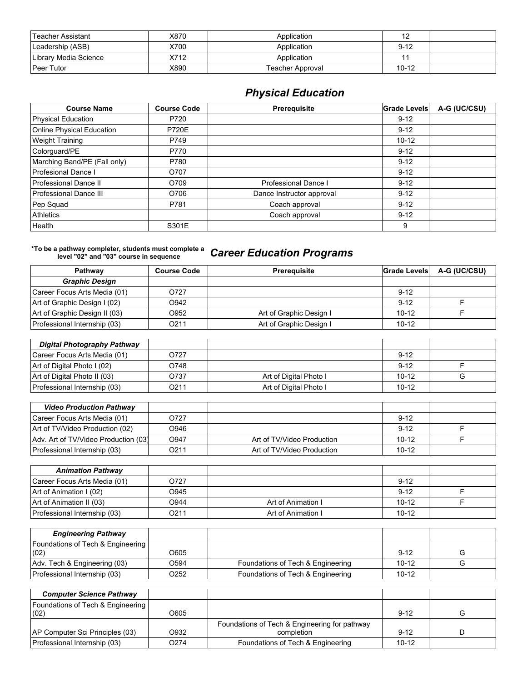| Teacher Assistant     | X870 | Application      | 12        |  |
|-----------------------|------|------------------|-----------|--|
| Leadership (ASB)      | X700 | Application      | $9 - 12$  |  |
| Library Media Science | X712 | Application      |           |  |
| <b>Peer Tutor</b>     | X890 | Teacher Approval | $10 - 12$ |  |

## *Physical Education*

| <b>Course Name</b>           | <b>Course Code</b> | Prerequisite              | <b>Grade Levels</b> | A-G (UC/CSU) |
|------------------------------|--------------------|---------------------------|---------------------|--------------|
| Physical Education           | P720               |                           | $9 - 12$            |              |
| Online Physical Education    | <b>P720E</b>       |                           | $9 - 12$            |              |
| <b>Weight Training</b>       | P749               |                           | $10 - 12$           |              |
| Colorguard/PE                | P770               |                           | $9 - 12$            |              |
| Marching Band/PE (Fall only) | P780               |                           | $9 - 12$            |              |
| Profesional Dance I          | O707               |                           | $9 - 12$            |              |
| Professional Dance II        | O709               | Professional Dance I      | $9 - 12$            |              |
| Professional Dance III       | O706               | Dance Instructor approval | $9 - 12$            |              |
| Pep Squad                    | P781               | Coach approval            | $9 - 12$            |              |
| <b>Athletics</b>             |                    | Coach approval            | $9 - 12$            |              |
| Health                       | S301E              |                           | 9                   |              |

## **\*To be a pathway completer, students must complete a level "02" and "03" course in sequence** *Career Education Programs*

| <b>Pathway</b>                | <b>Course Code</b> | <b>Prerequisite</b>     | Grade Levels | A-G (UC/CSU) |
|-------------------------------|--------------------|-------------------------|--------------|--------------|
| <b>Graphic Design</b>         |                    |                         |              |              |
| Career Focus Arts Media (01)  | O727               |                         | $9 - 12$     |              |
| Art of Graphic Design I (02)  | O942               |                         | $9 - 12$     |              |
| Art of Graphic Design II (03) | O952               | Art of Graphic Design I | $10 - 12$    |              |
| Professional Internship (03)  | O211               | Art of Graphic Design I | $10 - 12$    |              |

| Digital Photography Pathway  |                   |                        |           |  |
|------------------------------|-------------------|------------------------|-----------|--|
| Career Focus Arts Media (01) | O727              |                        | $9 - 12$  |  |
| Art of Digital Photo I (02)  | O748              |                        | $9 - 12$  |  |
| Art of Digital Photo II (03) | O737              | Art of Digital Photo I | $10 - 12$ |  |
| Professional Internship (03) | O <sub>2</sub> 11 | Art of Digital Photo I | $10 - 12$ |  |

| <b>Video Production Pathway</b>      |      |                            |           |  |
|--------------------------------------|------|----------------------------|-----------|--|
| Career Focus Arts Media (01)         | O727 |                            | $9 - 12$  |  |
| Art of TV/Video Production (02)      | O946 |                            | $9 - 12$  |  |
| Adv. Art of TV/Video Production (03) | O947 | Art of TV/Video Production | $10-12$   |  |
| Professional Internship (03)         | 0211 | Art of TV/Video Production | $10 - 12$ |  |

| <b>Animation Pathway</b>     |      |                    |           |  |
|------------------------------|------|--------------------|-----------|--|
| Career Focus Arts Media (01) | 0727 |                    | $9 - 12$  |  |
| Art of Animation I (02)      | O945 |                    | $9 - 12$  |  |
| Art of Animation II (03)     | O944 | Art of Animation I | $10-12$   |  |
| Professional Internship (03) | O211 | Art of Animation I | $10 - 12$ |  |

| <b>Engineering Pathway</b>                           |      |                                   |           |  |
|------------------------------------------------------|------|-----------------------------------|-----------|--|
| <b>Foundations of Tech &amp; Engineering</b><br>(02) | O605 |                                   | $9 - 12$  |  |
| Adv. Tech & Engineering (03)                         | O594 | Foundations of Tech & Engineering | $10-12$   |  |
| Professional Internship (03)                         | O252 | Foundations of Tech & Engineering | $10 - 12$ |  |

| <b>Computer Science Pathway</b>                |      |                                               |           |  |
|------------------------------------------------|------|-----------------------------------------------|-----------|--|
| <b>Foundations of Tech &amp; Engineering  </b> |      |                                               |           |  |
| (02)                                           | O605 |                                               | $9 - 12$  |  |
|                                                |      | Foundations of Tech & Engineering for pathway |           |  |
| AP Computer Sci Principles (03)                | O932 | completion                                    | $9 - 12$  |  |
| Professional Internship (03)                   | O274 | Foundations of Tech & Engineering             | $10 - 12$ |  |